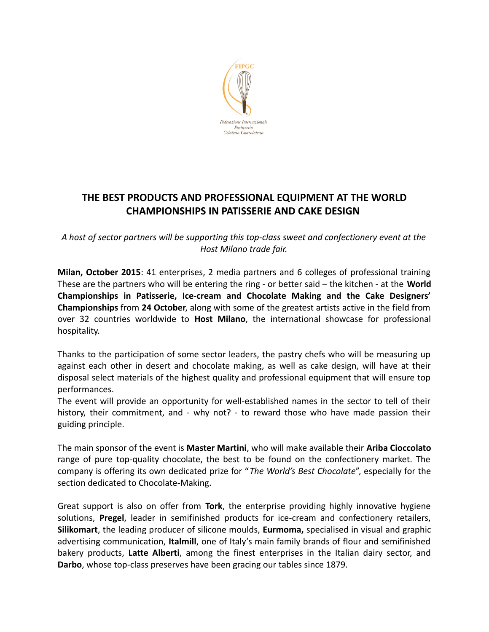

## **THE BEST PRODUCTS AND PROFESSIONAL EQUIPMENT AT THE WORLD CHAMPIONSHIPS IN PATISSERIE AND CAKE DESIGN**

*A host of sector partners will be supporting this top-class sweet and confectionery event at the Host Milano trade fair.*

**Milan, October 2015**: 41 enterprises, 2 media partners and 6 colleges of professional training These are the partners who will be entering the ring - or better said – the kitchen - at the **World Championships in Patisserie, Ice-cream and Chocolate Making and the Cake Designers' Championships** from **24 October**, along with some of the greatest artists active in the field from over 32 countries worldwide to **Host Milano**, the international showcase for professional hospitality.

Thanks to the participation of some sector leaders, the pastry chefs who will be measuring up against each other in desert and chocolate making, as well as cake design, will have at their disposal select materials of the highest quality and professional equipment that will ensure top performances.

The event will provide an opportunity for well-established names in the sector to tell of their history, their commitment, and - why not? - to reward those who have made passion their guiding principle.

The main sponsor of the event is **Master Martini**, who will make available their **Ariba Cioccolato** range of pure top-quality chocolate, the best to be found on the confectionery market. The company is offering its own dedicated prize for "*The World's Best Chocolate*", especially for the section dedicated to Chocolate-Making.

Great support is also on offer from **Tork**, the enterprise providing highly innovative hygiene solutions, **Pregel**, leader in semifinished products for ice-cream and confectionery retailers, **Silikomart**, the leading producer of silicone moulds, **Eurmoma,** specialised in visual and graphic advertising communication, **Italmill**, one of Italy's main family brands of flour and semifinished bakery products, **Latte Alberti**, among the finest enterprises in the Italian dairy sector, and **Darbo**, whose top-class preserves have been gracing our tables since 1879.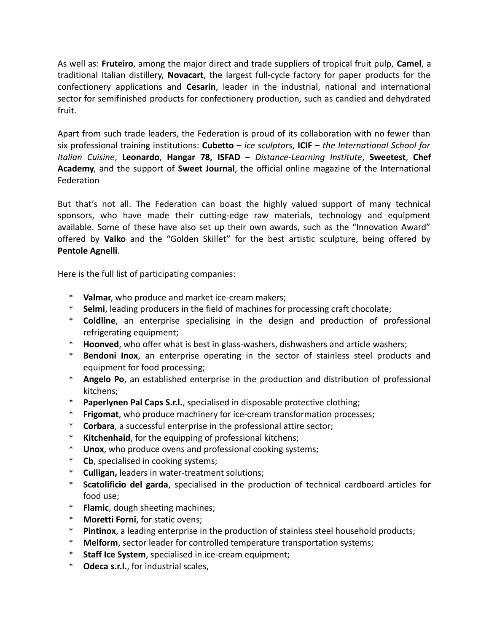As well as: **Fruteiro**, among the major direct and trade suppliers of tropical fruit pulp, **Camel**, a traditional Italian distillery, **Novacart**, the largest full-cycle factory for paper products for the confectionery applications and **Cesarin**, leader in the industrial, national and international sector for semifinished products for confectionery production, such as candied and dehydrated fruit.

Apart from such trade leaders, the Federation is proud of its collaboration with no fewer than six professional training institutions: **Cubetto** – *ice sculptors*, **ICIF** – *the International School for Italian Cuisine*, **Leonardo**, **Hangar 78, ISFAD** – *Distance-Learning Institute*, **Sweetest**, **Chef Academy**, and the support of **Sweet Journal**, the official online magazine of the International Federation

But that's not all. The Federation can boast the highly valued support of many technical sponsors, who have made their cutting-edge raw materials, technology and equipment available. Some of these have also set up their own awards, such as the "Innovation Award" offered by **Valko** and the "Golden Skillet" for the best artistic sculpture, being offered by **Pentole Agnelli**.

Here is the full list of participating companies:

- \* **Valmar**, who produce and market ice-cream makers;
- **Selmi**, leading producers in the field of machines for processing craft chocolate;
- \* **Coldline**, an enterprise specialising in the design and production of professional refrigerating equipment;
- \* **Hoonved**, who offer what is best in glass-washers, dishwashers and article washers;
- \* **Bendoni Inox**, an enterprise operating in the sector of stainless steel products and equipment for food processing;
- Angelo Po, an established enterprise in the production and distribution of professional kitchens;
- \* **Paperlynen Pal Caps S.r.l.**, specialised in disposable protective clothing;
- **Frigomat**, who produce machinery for ice-cream transformation processes;
- \* **Corbara**, a successful enterprise in the professional attire sector;
- Kitchenhaid, for the equipping of professional kitchens;
- \* **Unox**, who produce ovens and professional cooking systems;
- \* **Cb**, specialised in cooking systems;
- **Culligan, leaders in water-treatment solutions;**
- \* **Scatolificio del garda**, specialised in the production of technical cardboard articles for food use;
- \* **Flamic**, dough sheeting machines;
- **Moretti Forni**, for static ovens;
- Pintinox, a leading enterprise in the production of stainless steel household products;
- **Melform**, sector leader for controlled temperature transportation systems;
- \* **Staff Ice System**, specialised in ice-cream equipment;
- \* **Odeca s.r.l.**, for industrial scales,